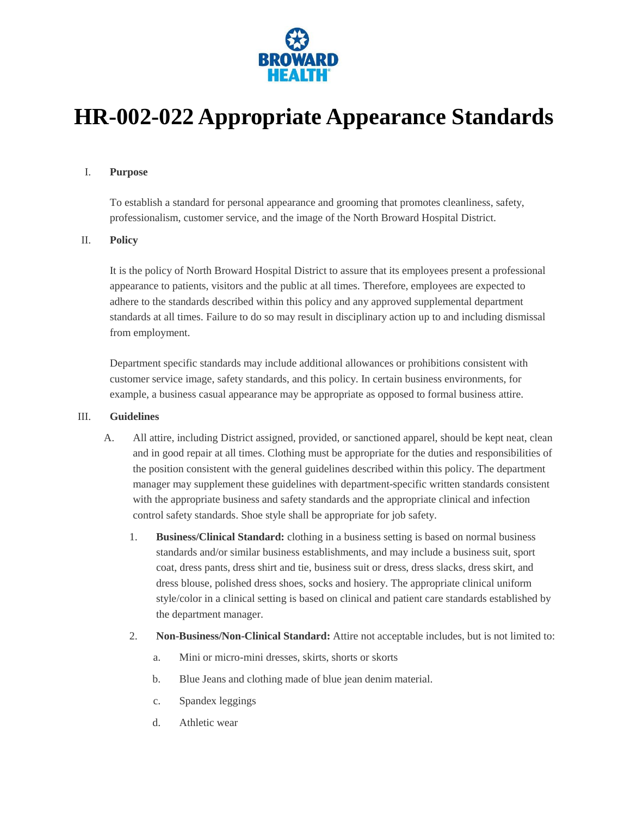

# **HR-002-022 Appropriate Appearance Standards**

### I. **Purpose**

To establish a standard for personal appearance and grooming that promotes cleanliness, safety, professionalism, customer service, and the image of the North Broward Hospital District.

## II. **Policy**

It is the policy of North Broward Hospital District to assure that its employees present a professional appearance to patients, visitors and the public at all times. Therefore, employees are expected to adhere to the standards described within this policy and any approved supplemental department standards at all times. Failure to do so may result in disciplinary action up to and including dismissal from employment.

Department specific standards may include additional allowances or prohibitions consistent with customer service image, safety standards, and this policy. In certain business environments, for example, a business casual appearance may be appropriate as opposed to formal business attire.

#### III. **Guidelines**

- A. All attire, including District assigned, provided, or sanctioned apparel, should be kept neat, clean and in good repair at all times. Clothing must be appropriate for the duties and responsibilities of the position consistent with the general guidelines described within this policy. The department manager may supplement these guidelines with department-specific written standards consistent with the appropriate business and safety standards and the appropriate clinical and infection control safety standards. Shoe style shall be appropriate for job safety.
	- 1. **Business/Clinical Standard:** clothing in a business setting is based on normal business standards and/or similar business establishments, and may include a business suit, sport coat, dress pants, dress shirt and tie, business suit or dress, dress slacks, dress skirt, and dress blouse, polished dress shoes, socks and hosiery. The appropriate clinical uniform style/color in a clinical setting is based on clinical and patient care standards established by the department manager.
	- 2. **Non-Business/Non-Clinical Standard:** Attire not acceptable includes, but is not limited to:
		- a. Mini or micro-mini dresses, skirts, shorts or skorts
		- b. Blue Jeans and clothing made of blue jean denim material.
		- c. Spandex leggings
		- d. Athletic wear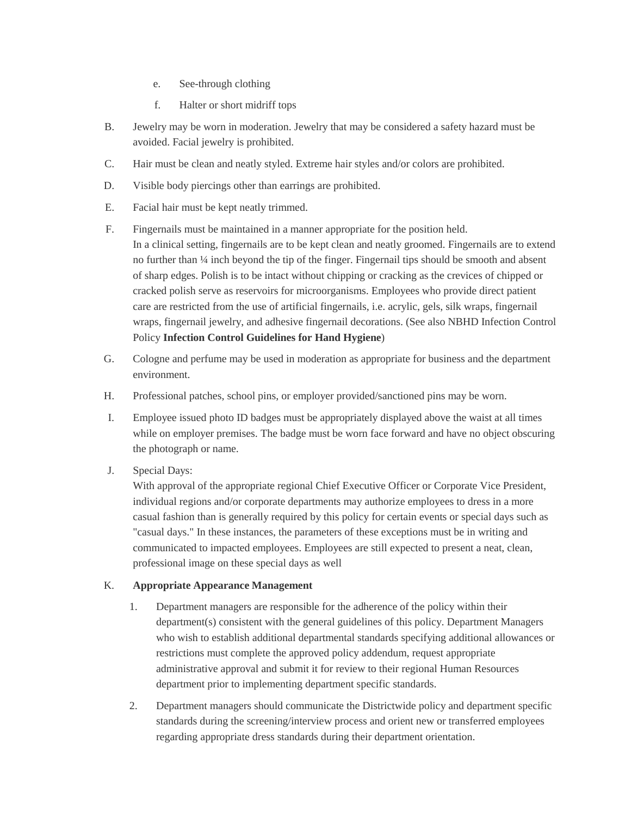- e. See-through clothing
- f. Halter or short midriff tops
- B. Jewelry may be worn in moderation. Jewelry that may be considered a safety hazard must be avoided. Facial jewelry is prohibited.
- C. Hair must be clean and neatly styled. Extreme hair styles and/or colors are prohibited.
- D. Visible body piercings other than earrings are prohibited.
- E. Facial hair must be kept neatly trimmed.
- F. Fingernails must be maintained in a manner appropriate for the position held. In a clinical setting, fingernails are to be kept clean and neatly groomed. Fingernails are to extend no further than ¼ inch beyond the tip of the finger. Fingernail tips should be smooth and absent of sharp edges. Polish is to be intact without chipping or cracking as the crevices of chipped or cracked polish serve as reservoirs for microorganisms. Employees who provide direct patient care are restricted from the use of artificial fingernails, i.e. acrylic, gels, silk wraps, fingernail wraps, fingernail jewelry, and adhesive fingernail decorations. (See also NBHD Infection Control Policy **Infection Control Guidelines for Hand Hygiene**)
- G. Cologne and perfume may be used in moderation as appropriate for business and the department environment.
- H. Professional patches, school pins, or employer provided/sanctioned pins may be worn.
- I. Employee issued photo ID badges must be appropriately displayed above the waist at all times while on employer premises. The badge must be worn face forward and have no object obscuring the photograph or name.
- J. Special Days:

With approval of the appropriate regional Chief Executive Officer or Corporate Vice President, individual regions and/or corporate departments may authorize employees to dress in a more casual fashion than is generally required by this policy for certain events or special days such as "casual days." In these instances, the parameters of these exceptions must be in writing and communicated to impacted employees. Employees are still expected to present a neat, clean, professional image on these special days as well

# K. **Appropriate Appearance Management**

- 1. Department managers are responsible for the adherence of the policy within their department(s) consistent with the general guidelines of this policy. Department Managers who wish to establish additional departmental standards specifying additional allowances or restrictions must complete the approved policy addendum, request appropriate administrative approval and submit it for review to their regional Human Resources department prior to implementing department specific standards.
- 2. Department managers should communicate the Districtwide policy and department specific standards during the screening/interview process and orient new or transferred employees regarding appropriate dress standards during their department orientation.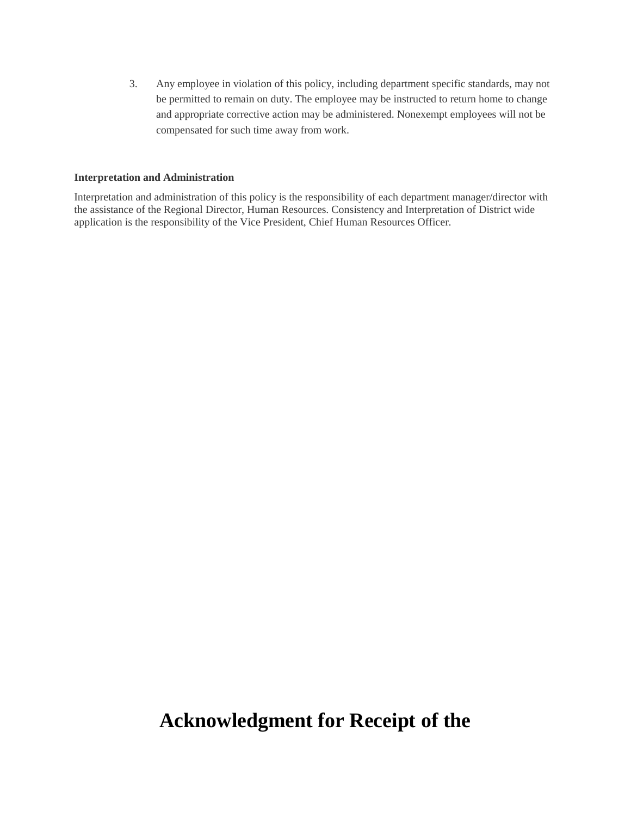3. Any employee in violation of this policy, including department specific standards, may not be permitted to remain on duty. The employee may be instructed to return home to change and appropriate corrective action may be administered. Nonexempt employees will not be compensated for such time away from work.

### **Interpretation and Administration**

Interpretation and administration of this policy is the responsibility of each department manager/director with the assistance of the Regional Director, Human Resources. Consistency and Interpretation of District wide application is the responsibility of the Vice President, Chief Human Resources Officer.

# **Acknowledgment for Receipt of the**